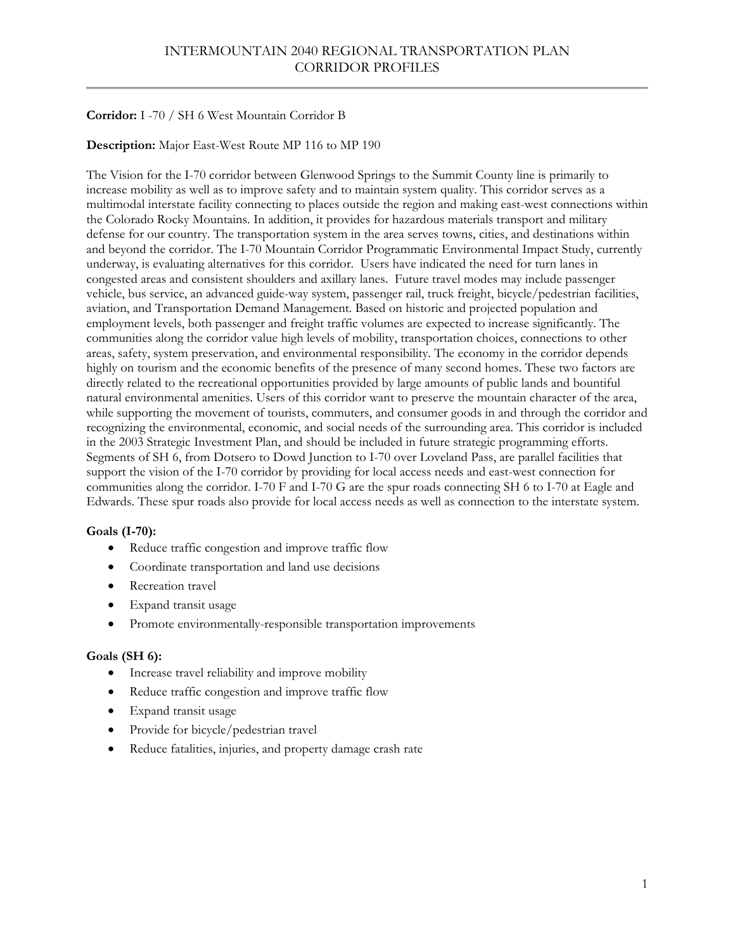# **Corridor:** I -70 / SH 6 West Mountain Corridor B

# **Description:** Major East-West Route MP 116 to MP 190

The Vision for the I-70 corridor between Glenwood Springs to the Summit County line is primarily to increase mobility as well as to improve safety and to maintain system quality. This corridor serves as a multimodal interstate facility connecting to places outside the region and making east-west connections within the Colorado Rocky Mountains. In addition, it provides for hazardous materials transport and military defense for our country. The transportation system in the area serves towns, cities, and destinations within and beyond the corridor. The I-70 Mountain Corridor Programmatic Environmental Impact Study, currently underway, is evaluating alternatives for this corridor. Users have indicated the need for turn lanes in congested areas and consistent shoulders and axillary lanes. Future travel modes may include passenger vehicle, bus service, an advanced guide-way system, passenger rail, truck freight, bicycle/pedestrian facilities, aviation, and Transportation Demand Management. Based on historic and projected population and employment levels, both passenger and freight traffic volumes are expected to increase significantly. The communities along the corridor value high levels of mobility, transportation choices, connections to other areas, safety, system preservation, and environmental responsibility. The economy in the corridor depends highly on tourism and the economic benefits of the presence of many second homes. These two factors are directly related to the recreational opportunities provided by large amounts of public lands and bountiful natural environmental amenities. Users of this corridor want to preserve the mountain character of the area, while supporting the movement of tourists, commuters, and consumer goods in and through the corridor and recognizing the environmental, economic, and social needs of the surrounding area. This corridor is included in the 2003 Strategic Investment Plan, and should be included in future strategic programming efforts. Segments of SH 6, from Dotsero to Dowd Junction to I-70 over Loveland Pass, are parallel facilities that support the vision of the I-70 corridor by providing for local access needs and east-west connection for communities along the corridor. I-70 F and I-70 G are the spur roads connecting SH 6 to I-70 at Eagle and Edwards. These spur roads also provide for local access needs as well as connection to the interstate system.

# **Goals (I-70):**

- Reduce traffic congestion and improve traffic flow
- Coordinate transportation and land use decisions
- Recreation travel
- Expand transit usage
- Promote environmentally-responsible transportation improvements

### **Goals (SH 6):**

- Increase travel reliability and improve mobility
- Reduce traffic congestion and improve traffic flow
- Expand transit usage
- Provide for bicycle/pedestrian travel
- Reduce fatalities, injuries, and property damage crash rate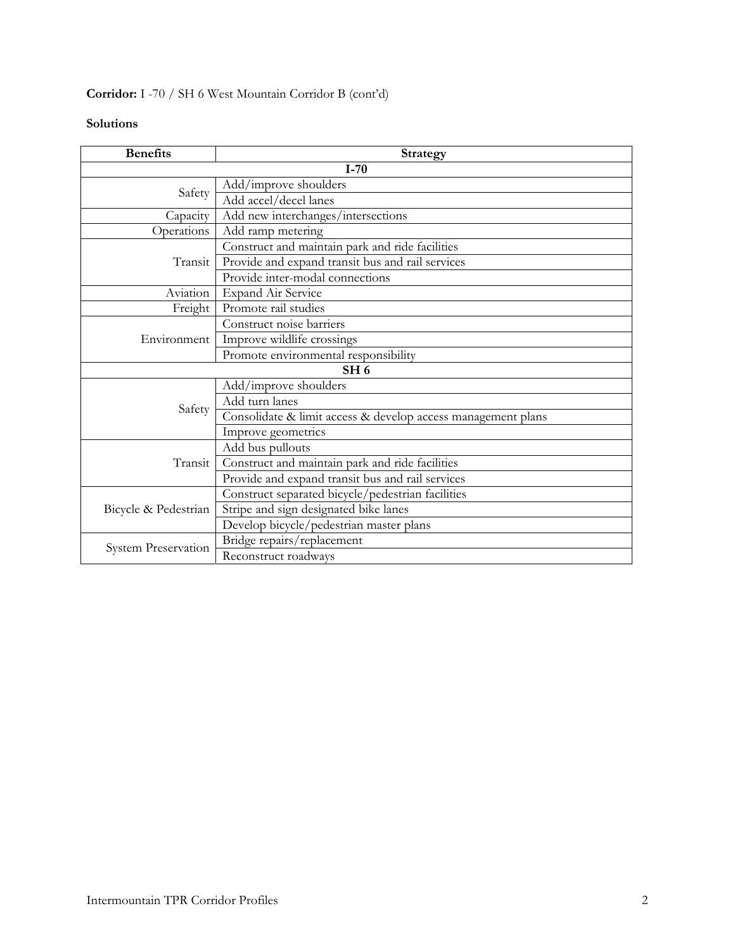# **Corridor:** I -70 / SH 6 West Mountain Corridor B (cont'd)

| <b>Benefits</b>            | <b>Strategy</b>                                              |
|----------------------------|--------------------------------------------------------------|
|                            | $I-70$                                                       |
| Safety                     | Add/improve shoulders                                        |
|                            | Add accel/decel lanes                                        |
| Capacity                   | Add new interchanges/intersections                           |
| Operations                 | Add ramp metering                                            |
|                            | Construct and maintain park and ride facilities              |
| Transit                    | Provide and expand transit bus and rail services             |
|                            | Provide inter-modal connections                              |
| Aviation                   | <b>Expand Air Service</b>                                    |
| Freight                    | Promote rail studies                                         |
|                            | Construct noise barriers                                     |
| Environment                | Improve wildlife crossings                                   |
|                            | Promote environmental responsibility                         |
|                            | SH <sub>6</sub>                                              |
|                            | Add/improve shoulders                                        |
| Safety                     | Add turn lanes                                               |
|                            | Consolidate & limit access & develop access management plans |
|                            | Improve geometrics                                           |
|                            | Add bus pullouts                                             |
| Transit                    | Construct and maintain park and ride facilities              |
|                            | Provide and expand transit bus and rail services             |
|                            | Construct separated bicycle/pedestrian facilities            |
| Bicycle & Pedestrian       | Stripe and sign designated bike lanes                        |
|                            | Develop bicycle/pedestrian master plans                      |
| <b>System Preservation</b> | Bridge repairs/replacement                                   |
|                            | Reconstruct roadways                                         |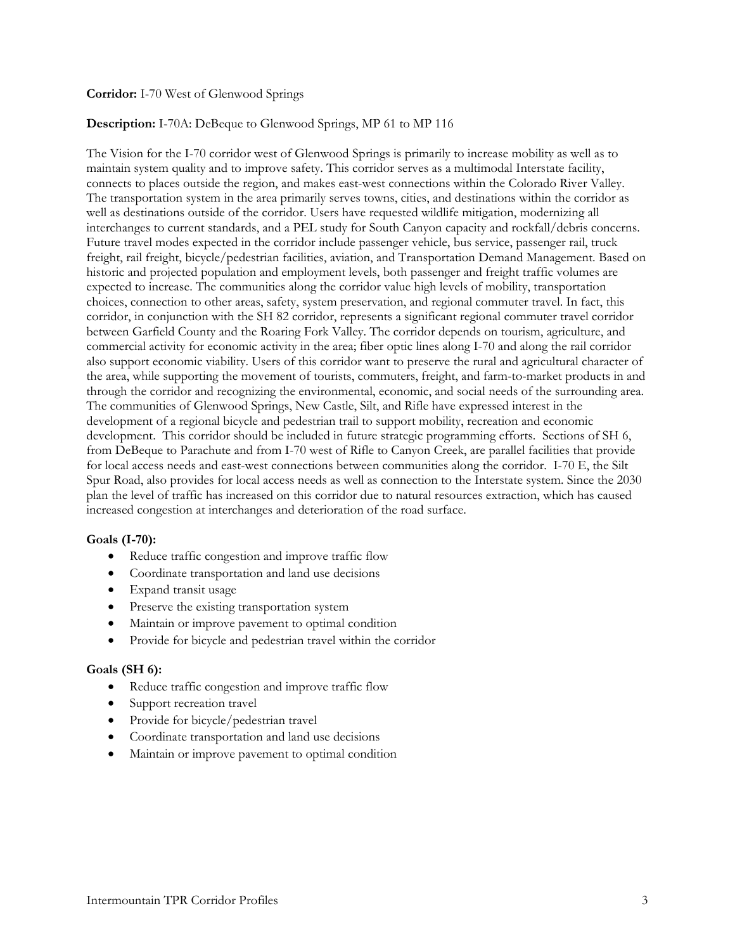### **Corridor:** I-70 West of Glenwood Springs

### **Description:** I-70A: DeBeque to Glenwood Springs, MP 61 to MP 116

The Vision for the I-70 corridor west of Glenwood Springs is primarily to increase mobility as well as to maintain system quality and to improve safety. This corridor serves as a multimodal Interstate facility, connects to places outside the region, and makes east-west connections within the Colorado River Valley. The transportation system in the area primarily serves towns, cities, and destinations within the corridor as well as destinations outside of the corridor. Users have requested wildlife mitigation, modernizing all interchanges to current standards, and a PEL study for South Canyon capacity and rockfall/debris concerns. Future travel modes expected in the corridor include passenger vehicle, bus service, passenger rail, truck freight, rail freight, bicycle/pedestrian facilities, aviation, and Transportation Demand Management. Based on historic and projected population and employment levels, both passenger and freight traffic volumes are expected to increase. The communities along the corridor value high levels of mobility, transportation choices, connection to other areas, safety, system preservation, and regional commuter travel. In fact, this corridor, in conjunction with the SH 82 corridor, represents a significant regional commuter travel corridor between Garfield County and the Roaring Fork Valley. The corridor depends on tourism, agriculture, and commercial activity for economic activity in the area; fiber optic lines along I-70 and along the rail corridor also support economic viability. Users of this corridor want to preserve the rural and agricultural character of the area, while supporting the movement of tourists, commuters, freight, and farm-to-market products in and through the corridor and recognizing the environmental, economic, and social needs of the surrounding area. The communities of Glenwood Springs, New Castle, Silt, and Rifle have expressed interest in the development of a regional bicycle and pedestrian trail to support mobility, recreation and economic development. This corridor should be included in future strategic programming efforts. Sections of SH 6, from DeBeque to Parachute and from I-70 west of Rifle to Canyon Creek, are parallel facilities that provide for local access needs and east-west connections between communities along the corridor. I-70 E, the Silt Spur Road, also provides for local access needs as well as connection to the Interstate system. Since the 2030 plan the level of traffic has increased on this corridor due to natural resources extraction, which has caused increased congestion at interchanges and deterioration of the road surface.

### **Goals (I-70):**

- Reduce traffic congestion and improve traffic flow
- Coordinate transportation and land use decisions
- Expand transit usage
- Preserve the existing transportation system
- Maintain or improve pavement to optimal condition
- Provide for bicycle and pedestrian travel within the corridor

### **Goals (SH 6):**

- Reduce traffic congestion and improve traffic flow
- Support recreation travel
- Provide for bicycle/pedestrian travel
- Coordinate transportation and land use decisions
- Maintain or improve pavement to optimal condition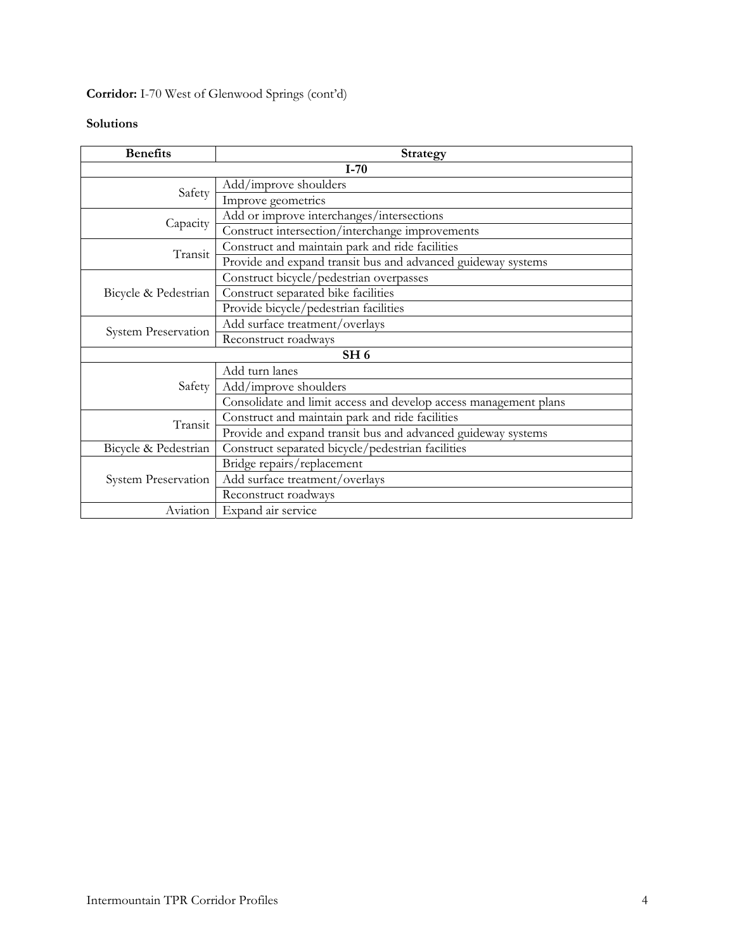# **Corridor:** I-70 West of Glenwood Springs (cont'd)

| <b>Benefits</b>            | <b>Strategy</b>                                                  |  |
|----------------------------|------------------------------------------------------------------|--|
| $I-70$                     |                                                                  |  |
| Safety                     | Add/improve shoulders                                            |  |
|                            | Improve geometrics                                               |  |
|                            | Add or improve interchanges/intersections                        |  |
| Capacity                   | Construct intersection/interchange improvements                  |  |
| Transit                    | Construct and maintain park and ride facilities                  |  |
|                            | Provide and expand transit bus and advanced guideway systems     |  |
|                            | Construct bicycle/pedestrian overpasses                          |  |
| Bicycle & Pedestrian       | Construct separated bike facilities                              |  |
|                            | Provide bicycle/pedestrian facilities                            |  |
| System Preservation        | Add surface treatment/overlays                                   |  |
|                            | Reconstruct roadways                                             |  |
| SH <sub>6</sub>            |                                                                  |  |
|                            | Add turn lanes                                                   |  |
| Safety                     | Add/improve shoulders                                            |  |
|                            | Consolidate and limit access and develop access management plans |  |
| Transit                    | Construct and maintain park and ride facilities                  |  |
|                            | Provide and expand transit bus and advanced guideway systems     |  |
| Bicycle & Pedestrian       | Construct separated bicycle/pedestrian facilities                |  |
|                            | Bridge repairs/replacement                                       |  |
| <b>System Preservation</b> | Add surface treatment/overlays                                   |  |
|                            | Reconstruct roadways                                             |  |
| Aviation                   | Expand air service                                               |  |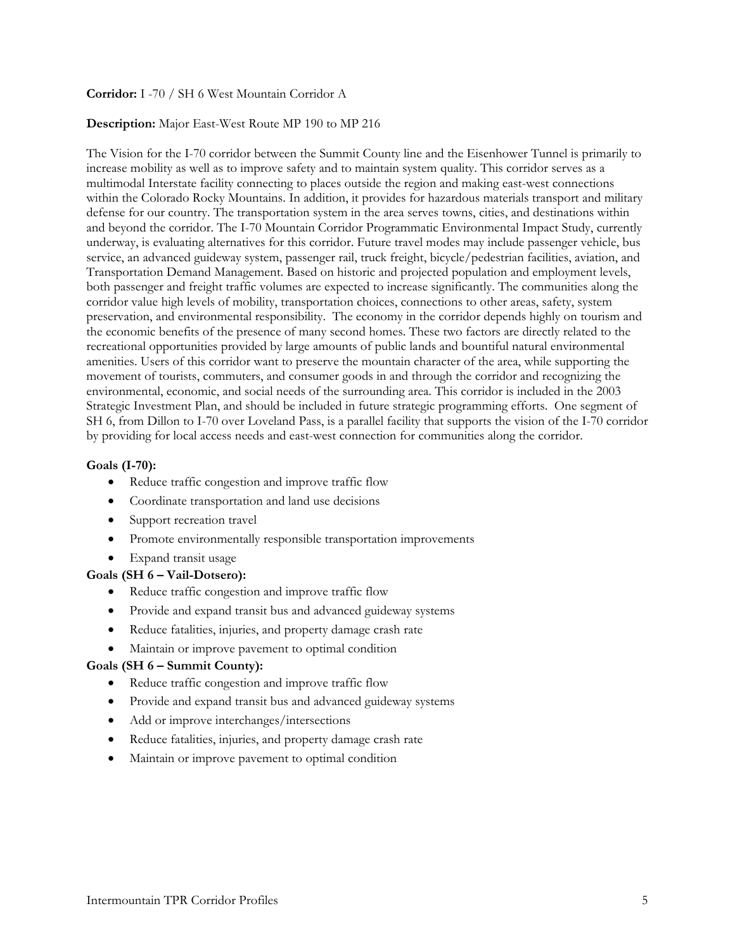### **Corridor:** I -70 / SH 6 West Mountain Corridor A

#### **Description:** Major East-West Route MP 190 to MP 216

The Vision for the I-70 corridor between the Summit County line and the Eisenhower Tunnel is primarily to increase mobility as well as to improve safety and to maintain system quality. This corridor serves as a multimodal Interstate facility connecting to places outside the region and making east-west connections within the Colorado Rocky Mountains. In addition, it provides for hazardous materials transport and military defense for our country. The transportation system in the area serves towns, cities, and destinations within and beyond the corridor. The I-70 Mountain Corridor Programmatic Environmental Impact Study, currently underway, is evaluating alternatives for this corridor. Future travel modes may include passenger vehicle, bus service, an advanced guideway system, passenger rail, truck freight, bicycle/pedestrian facilities, aviation, and Transportation Demand Management. Based on historic and projected population and employment levels, both passenger and freight traffic volumes are expected to increase significantly. The communities along the corridor value high levels of mobility, transportation choices, connections to other areas, safety, system preservation, and environmental responsibility. The economy in the corridor depends highly on tourism and the economic benefits of the presence of many second homes. These two factors are directly related to the recreational opportunities provided by large amounts of public lands and bountiful natural environmental amenities. Users of this corridor want to preserve the mountain character of the area, while supporting the movement of tourists, commuters, and consumer goods in and through the corridor and recognizing the environmental, economic, and social needs of the surrounding area. This corridor is included in the 2003 Strategic Investment Plan, and should be included in future strategic programming efforts. One segment of SH 6, from Dillon to I-70 over Loveland Pass, is a parallel facility that supports the vision of the I-70 corridor by providing for local access needs and east-west connection for communities along the corridor.

#### **Goals (I-70):**

- Reduce traffic congestion and improve traffic flow
- Coordinate transportation and land use decisions
- Support recreation travel
- Promote environmentally responsible transportation improvements
- Expand transit usage

#### **Goals (SH 6 – Vail-Dotsero):**

- Reduce traffic congestion and improve traffic flow
- Provide and expand transit bus and advanced guideway systems
- Reduce fatalities, injuries, and property damage crash rate
- Maintain or improve pavement to optimal condition

#### **Goals (SH 6 – Summit County):**

- Reduce traffic congestion and improve traffic flow
- Provide and expand transit bus and advanced guideway systems
- Add or improve interchanges/intersections
- Reduce fatalities, injuries, and property damage crash rate
- Maintain or improve pavement to optimal condition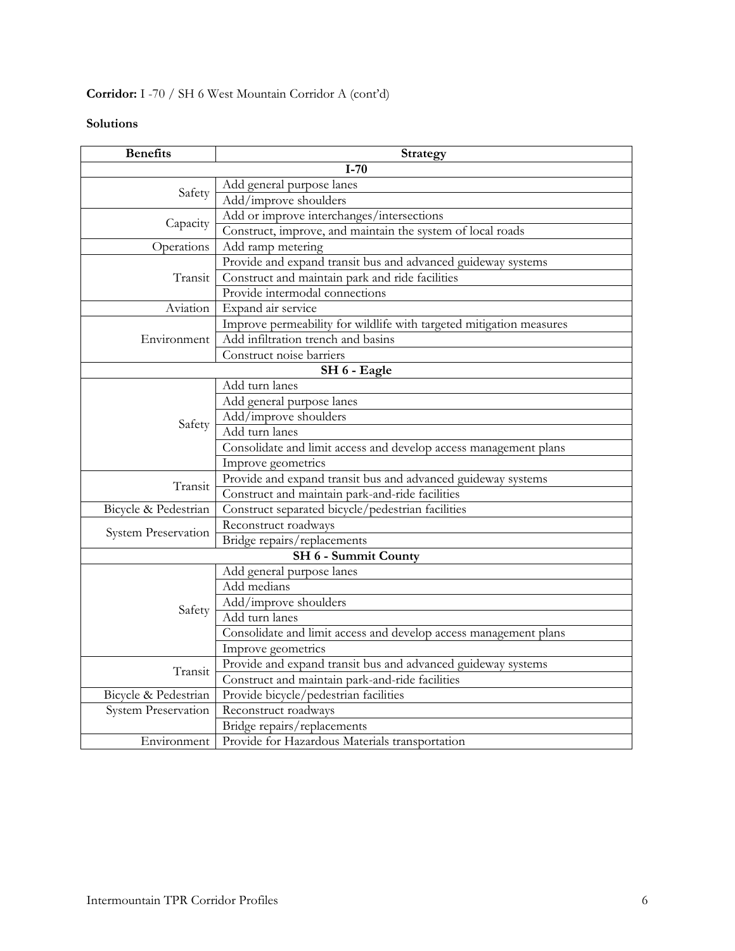# **Corridor:** I -70 / SH 6 West Mountain Corridor A (cont'd)

| <b>Benefits</b>            | <b>Strategy</b>                                                     |
|----------------------------|---------------------------------------------------------------------|
|                            | $I-70$                                                              |
| Safety                     | Add general purpose lanes                                           |
|                            | Add/improve shoulders                                               |
|                            | Add or improve interchanges/intersections                           |
| Capacity                   | Construct, improve, and maintain the system of local roads          |
| Operations                 | Add ramp metering                                                   |
|                            | Provide and expand transit bus and advanced guideway systems        |
| Transit                    | Construct and maintain park and ride facilities                     |
|                            | Provide intermodal connections                                      |
| Aviation                   | Expand air service                                                  |
|                            | Improve permeability for wildlife with targeted mitigation measures |
| Environment                | Add infiltration trench and basins                                  |
|                            | Construct noise barriers                                            |
|                            | SH 6 - Eagle                                                        |
|                            | Add turn lanes                                                      |
|                            | Add general purpose lanes                                           |
|                            | Add/improve shoulders                                               |
| Safety                     | Add turn lanes                                                      |
|                            | Consolidate and limit access and develop access management plans    |
|                            | Improve geometrics                                                  |
| Transit                    | Provide and expand transit bus and advanced guideway systems        |
|                            | Construct and maintain park-and-ride facilities                     |
| Bicycle & Pedestrian       | Construct separated bicycle/pedestrian facilities                   |
|                            | Reconstruct roadways                                                |
| System Preservation        | Bridge repairs/replacements                                         |
|                            | SH 6 - Summit County                                                |
|                            | Add general purpose lanes                                           |
|                            | Add medians                                                         |
|                            | Add/improve shoulders                                               |
| Safety                     | Add turn lanes                                                      |
|                            | Consolidate and limit access and develop access management plans    |
|                            | Improve geometrics                                                  |
|                            | Provide and expand transit bus and advanced guideway systems        |
| Transit                    | Construct and maintain park-and-ride facilities                     |
| Bicycle & Pedestrian       | Provide bicycle/pedestrian facilities                               |
| <b>System Preservation</b> | Reconstruct roadways                                                |
|                            | Bridge repairs/replacements                                         |
| Environment                | Provide for Hazardous Materials transportation                      |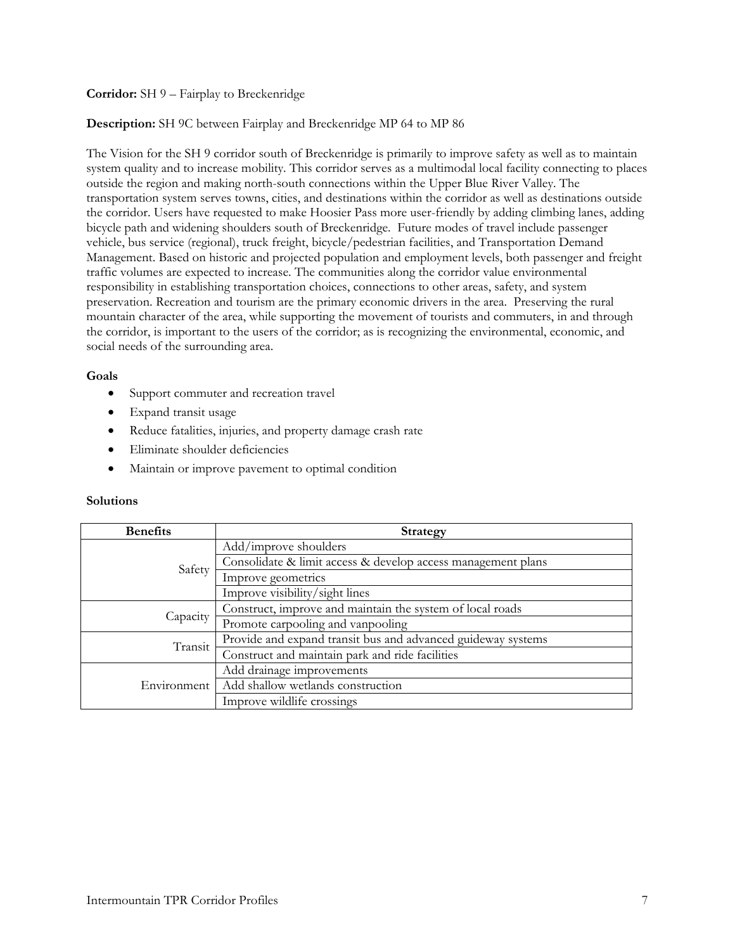# **Corridor:** SH 9 – Fairplay to Breckenridge

# **Description:** SH 9C between Fairplay and Breckenridge MP 64 to MP 86

The Vision for the SH 9 corridor south of Breckenridge is primarily to improve safety as well as to maintain system quality and to increase mobility. This corridor serves as a multimodal local facility connecting to places outside the region and making north-south connections within the Upper Blue River Valley. The transportation system serves towns, cities, and destinations within the corridor as well as destinations outside the corridor. Users have requested to make Hoosier Pass more user-friendly by adding climbing lanes, adding bicycle path and widening shoulders south of Breckenridge. Future modes of travel include passenger vehicle, bus service (regional), truck freight, bicycle/pedestrian facilities, and Transportation Demand Management. Based on historic and projected population and employment levels, both passenger and freight traffic volumes are expected to increase. The communities along the corridor value environmental responsibility in establishing transportation choices, connections to other areas, safety, and system preservation. Recreation and tourism are the primary economic drivers in the area. Preserving the rural mountain character of the area, while supporting the movement of tourists and commuters, in and through the corridor, is important to the users of the corridor; as is recognizing the environmental, economic, and social needs of the surrounding area.

# **Goals**

- Support commuter and recreation travel
- Expand transit usage
- Reduce fatalities, injuries, and property damage crash rate
- Eliminate shoulder deficiencies
- Maintain or improve pavement to optimal condition

| <b>Benefits</b> | Strategy                                                     |
|-----------------|--------------------------------------------------------------|
| Safety          | Add/improve shoulders                                        |
|                 | Consolidate & limit access & develop access management plans |
|                 | Improve geometrics                                           |
|                 | Improve visibility/sight lines                               |
| Capacity        | Construct, improve and maintain the system of local roads    |
|                 | Promote carpooling and vanpooling                            |
| Transit         | Provide and expand transit bus and advanced guideway systems |
|                 | Construct and maintain park and ride facilities              |
| Environment     | Add drainage improvements                                    |
|                 | Add shallow wetlands construction                            |
|                 | Improve wildlife crossings                                   |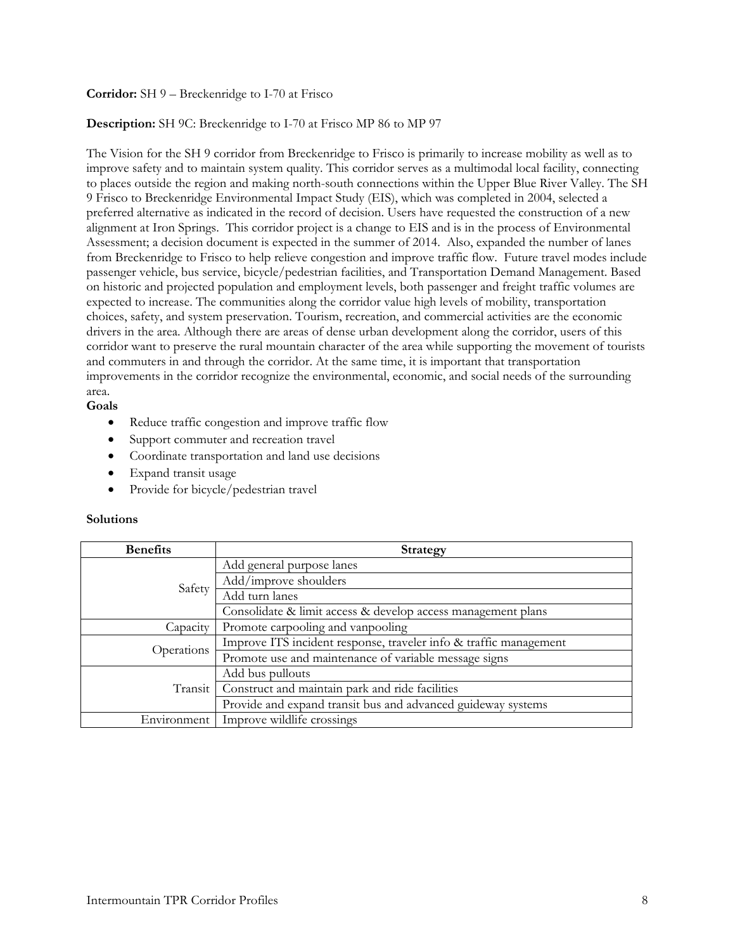# **Corridor:** SH 9 – Breckenridge to I-70 at Frisco

# **Description:** SH 9C: Breckenridge to I-70 at Frisco MP 86 to MP 97

The Vision for the SH 9 corridor from Breckenridge to Frisco is primarily to increase mobility as well as to improve safety and to maintain system quality. This corridor serves as a multimodal local facility, connecting to places outside the region and making north-south connections within the Upper Blue River Valley. The SH 9 Frisco to Breckenridge Environmental Impact Study (EIS), which was completed in 2004, selected a preferred alternative as indicated in the record of decision. Users have requested the construction of a new alignment at Iron Springs. This corridor project is a change to EIS and is in the process of Environmental Assessment; a decision document is expected in the summer of 2014. Also, expanded the number of lanes from Breckenridge to Frisco to help relieve congestion and improve traffic flow. Future travel modes include passenger vehicle, bus service, bicycle/pedestrian facilities, and Transportation Demand Management. Based on historic and projected population and employment levels, both passenger and freight traffic volumes are expected to increase. The communities along the corridor value high levels of mobility, transportation choices, safety, and system preservation. Tourism, recreation, and commercial activities are the economic drivers in the area. Although there are areas of dense urban development along the corridor, users of this corridor want to preserve the rural mountain character of the area while supporting the movement of tourists and commuters in and through the corridor. At the same time, it is important that transportation improvements in the corridor recognize the environmental, economic, and social needs of the surrounding area.

# **Goals**

- Reduce traffic congestion and improve traffic flow
- Support commuter and recreation travel
- Coordinate transportation and land use decisions
- Expand transit usage
- Provide for bicycle/pedestrian travel

| <b>Benefits</b> | <b>Strategy</b>                                                   |
|-----------------|-------------------------------------------------------------------|
| Safety          | Add general purpose lanes                                         |
|                 | Add/improve shoulders                                             |
|                 | Add turn lanes                                                    |
|                 | Consolidate & limit access & develop access management plans      |
| Capacity        | Promote carpooling and vanpooling                                 |
| Operations      | Improve ITS incident response, traveler info & traffic management |
|                 | Promote use and maintenance of variable message signs             |
| Transit         | Add bus pullouts                                                  |
|                 | Construct and maintain park and ride facilities                   |
|                 | Provide and expand transit bus and advanced guideway systems      |
| Environment     | Improve wildlife crossings                                        |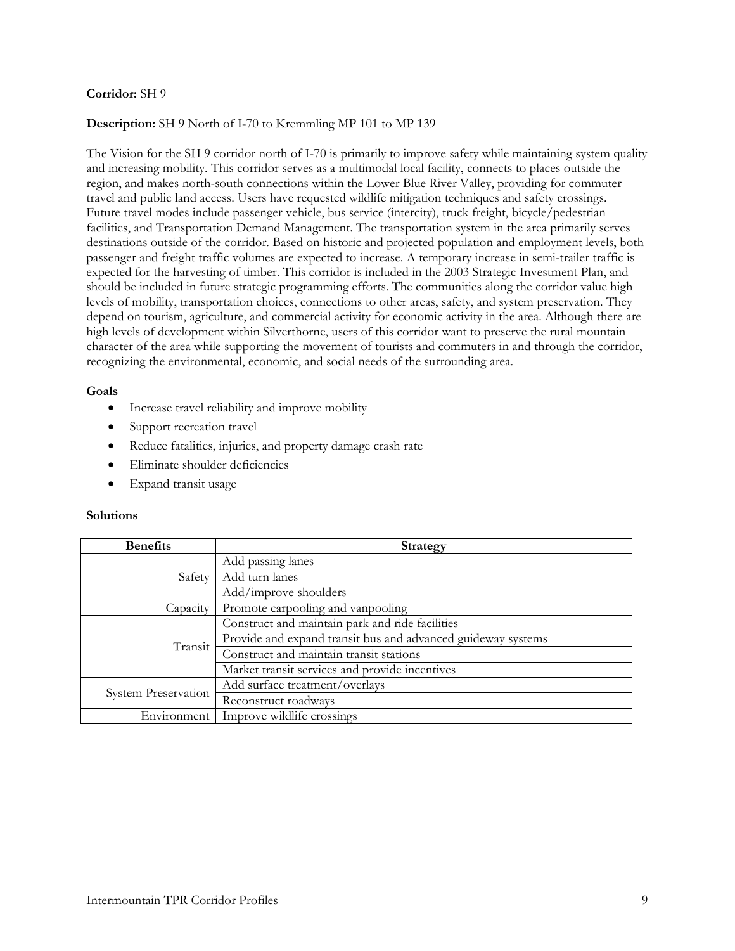### **Description:** SH 9 North of I-70 to Kremmling MP 101 to MP 139

The Vision for the SH 9 corridor north of I-70 is primarily to improve safety while maintaining system quality and increasing mobility. This corridor serves as a multimodal local facility, connects to places outside the region, and makes north-south connections within the Lower Blue River Valley, providing for commuter travel and public land access. Users have requested wildlife mitigation techniques and safety crossings. Future travel modes include passenger vehicle, bus service (intercity), truck freight, bicycle/pedestrian facilities, and Transportation Demand Management. The transportation system in the area primarily serves destinations outside of the corridor. Based on historic and projected population and employment levels, both passenger and freight traffic volumes are expected to increase. A temporary increase in semi-trailer traffic is expected for the harvesting of timber. This corridor is included in the 2003 Strategic Investment Plan, and should be included in future strategic programming efforts. The communities along the corridor value high levels of mobility, transportation choices, connections to other areas, safety, and system preservation. They depend on tourism, agriculture, and commercial activity for economic activity in the area. Although there are high levels of development within Silverthorne, users of this corridor want to preserve the rural mountain character of the area while supporting the movement of tourists and commuters in and through the corridor, recognizing the environmental, economic, and social needs of the surrounding area.

#### **Goals**

- Increase travel reliability and improve mobility
- Support recreation travel
- Reduce fatalities, injuries, and property damage crash rate
- Eliminate shoulder deficiencies
- Expand transit usage

| <b>Benefits</b>            | <b>Strategy</b>                                              |
|----------------------------|--------------------------------------------------------------|
| Safety                     | Add passing lanes                                            |
|                            | Add turn lanes                                               |
|                            | Add/improve shoulders                                        |
| Capacity                   | Promote carpooling and vanpooling                            |
| Transit                    | Construct and maintain park and ride facilities              |
|                            | Provide and expand transit bus and advanced guideway systems |
|                            | Construct and maintain transit stations                      |
|                            | Market transit services and provide incentives               |
| <b>System Preservation</b> | Add surface treatment/overlays                               |
|                            | Reconstruct roadways                                         |
| Environment                | Improve wildlife crossings                                   |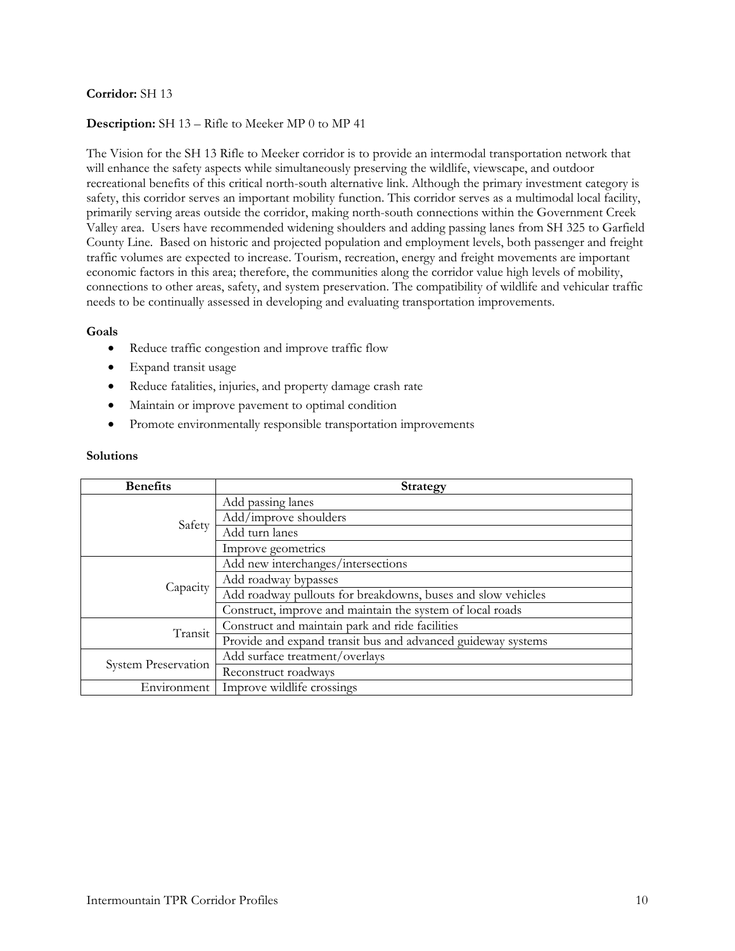# **Description:** SH 13 – Rifle to Meeker MP 0 to MP 41

The Vision for the SH 13 Rifle to Meeker corridor is to provide an intermodal transportation network that will enhance the safety aspects while simultaneously preserving the wildlife, viewscape, and outdoor recreational benefits of this critical north-south alternative link. Although the primary investment category is safety, this corridor serves an important mobility function. This corridor serves as a multimodal local facility, primarily serving areas outside the corridor, making north-south connections within the Government Creek Valley area. Users have recommended widening shoulders and adding passing lanes from SH 325 to Garfield County Line. Based on historic and projected population and employment levels, both passenger and freight traffic volumes are expected to increase. Tourism, recreation, energy and freight movements are important economic factors in this area; therefore, the communities along the corridor value high levels of mobility, connections to other areas, safety, and system preservation. The compatibility of wildlife and vehicular traffic needs to be continually assessed in developing and evaluating transportation improvements.

### **Goals**

- Reduce traffic congestion and improve traffic flow
- Expand transit usage
- Reduce fatalities, injuries, and property damage crash rate
- Maintain or improve pavement to optimal condition
- Promote environmentally responsible transportation improvements

| <b>Benefits</b>            | <b>Strategy</b>                                              |
|----------------------------|--------------------------------------------------------------|
| Safety                     | Add passing lanes                                            |
|                            | Add/improve shoulders                                        |
|                            | Add turn lanes                                               |
|                            | Improve geometrics                                           |
|                            | Add new interchanges/intersections                           |
| Capacity                   | Add roadway bypasses                                         |
|                            | Add roadway pullouts for breakdowns, buses and slow vehicles |
|                            | Construct, improve and maintain the system of local roads    |
| Transit                    | Construct and maintain park and ride facilities              |
|                            | Provide and expand transit bus and advanced guideway systems |
| <b>System Preservation</b> | Add surface treatment/overlays                               |
|                            | Reconstruct roadways                                         |
| Environment                | Improve wildlife crossings                                   |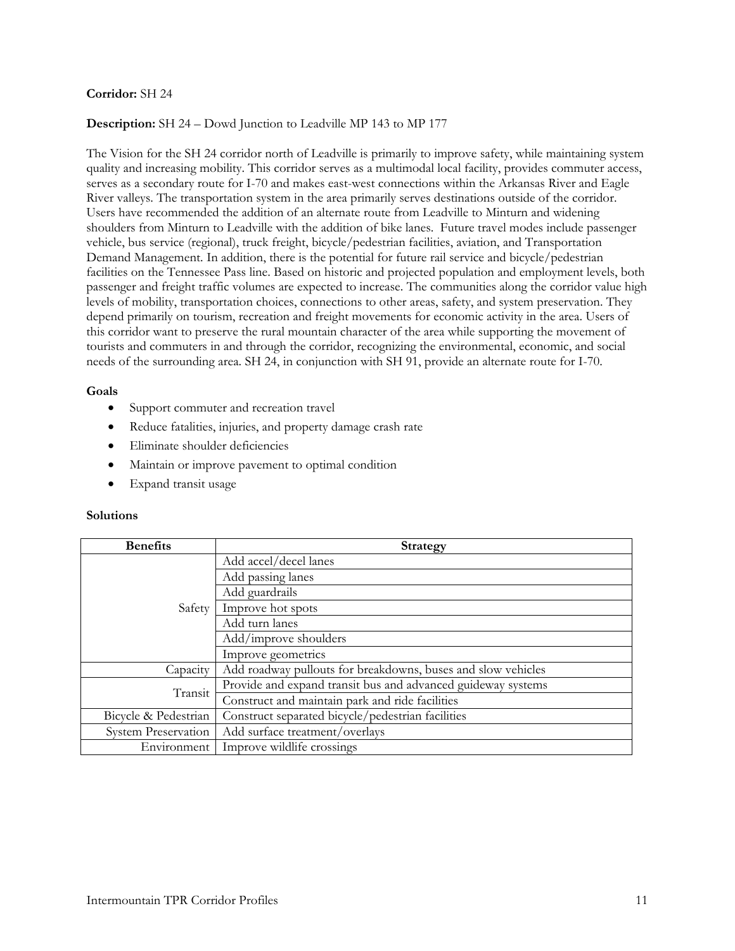# **Description:** SH 24 – Dowd Junction to Leadville MP 143 to MP 177

The Vision for the SH 24 corridor north of Leadville is primarily to improve safety, while maintaining system quality and increasing mobility. This corridor serves as a multimodal local facility, provides commuter access, serves as a secondary route for I-70 and makes east-west connections within the Arkansas River and Eagle River valleys. The transportation system in the area primarily serves destinations outside of the corridor. Users have recommended the addition of an alternate route from Leadville to Minturn and widening shoulders from Minturn to Leadville with the addition of bike lanes. Future travel modes include passenger vehicle, bus service (regional), truck freight, bicycle/pedestrian facilities, aviation, and Transportation Demand Management. In addition, there is the potential for future rail service and bicycle/pedestrian facilities on the Tennessee Pass line. Based on historic and projected population and employment levels, both passenger and freight traffic volumes are expected to increase. The communities along the corridor value high levels of mobility, transportation choices, connections to other areas, safety, and system preservation. They depend primarily on tourism, recreation and freight movements for economic activity in the area. Users of this corridor want to preserve the rural mountain character of the area while supporting the movement of tourists and commuters in and through the corridor, recognizing the environmental, economic, and social needs of the surrounding area. SH 24, in conjunction with SH 91, provide an alternate route for I-70.

#### **Goals**

- Support commuter and recreation travel
- Reduce fatalities, injuries, and property damage crash rate
- Eliminate shoulder deficiencies
- Maintain or improve pavement to optimal condition
- Expand transit usage

| <b>Benefits</b>      | Strategy                                                     |
|----------------------|--------------------------------------------------------------|
|                      | Add accel/decel lanes                                        |
|                      | Add passing lanes                                            |
|                      | Add guardrails                                               |
| Safety               | Improve hot spots                                            |
|                      | Add turn lanes                                               |
|                      | Add/improve shoulders                                        |
|                      | Improve geometrics                                           |
| Capacity             | Add roadway pullouts for breakdowns, buses and slow vehicles |
| Transit              | Provide and expand transit bus and advanced guideway systems |
|                      | Construct and maintain park and ride facilities              |
| Bicycle & Pedestrian | Construct separated bicycle/pedestrian facilities            |
| System Preservation  | Add surface treatment/overlays                               |
| Environment          | Improve wildlife crossings                                   |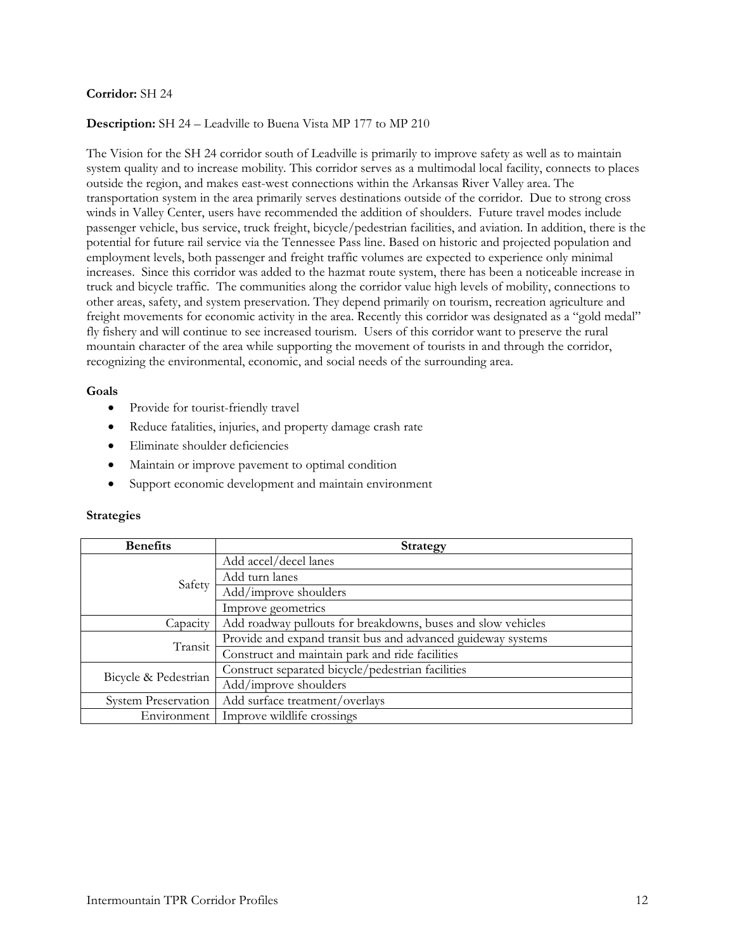### **Description:** SH 24 – Leadville to Buena Vista MP 177 to MP 210

The Vision for the SH 24 corridor south of Leadville is primarily to improve safety as well as to maintain system quality and to increase mobility. This corridor serves as a multimodal local facility, connects to places outside the region, and makes east-west connections within the Arkansas River Valley area. The transportation system in the area primarily serves destinations outside of the corridor. Due to strong cross winds in Valley Center, users have recommended the addition of shoulders. Future travel modes include passenger vehicle, bus service, truck freight, bicycle/pedestrian facilities, and aviation. In addition, there is the potential for future rail service via the Tennessee Pass line. Based on historic and projected population and employment levels, both passenger and freight traffic volumes are expected to experience only minimal increases. Since this corridor was added to the hazmat route system, there has been a noticeable increase in truck and bicycle traffic. The communities along the corridor value high levels of mobility, connections to other areas, safety, and system preservation. They depend primarily on tourism, recreation agriculture and freight movements for economic activity in the area. Recently this corridor was designated as a "gold medal" fly fishery and will continue to see increased tourism. Users of this corridor want to preserve the rural mountain character of the area while supporting the movement of tourists in and through the corridor, recognizing the environmental, economic, and social needs of the surrounding area.

#### **Goals**

- Provide for tourist-friendly travel
- Reduce fatalities, injuries, and property damage crash rate
- Eliminate shoulder deficiencies
- Maintain or improve pavement to optimal condition
- Support economic development and maintain environment

### **Strategies**

| <b>Benefits</b>            | <b>Strategy</b>                                              |
|----------------------------|--------------------------------------------------------------|
| Safety                     | Add accel/decel lanes                                        |
|                            | Add turn lanes                                               |
|                            | Add/improve shoulders                                        |
|                            | Improve geometrics                                           |
| Capacity                   | Add roadway pullouts for breakdowns, buses and slow vehicles |
| Transit                    | Provide and expand transit bus and advanced guideway systems |
|                            | Construct and maintain park and ride facilities              |
| Bicycle & Pedestrian       | Construct separated bicycle/pedestrian facilities            |
|                            | Add/improve shoulders                                        |
| <b>System Preservation</b> | Add surface treatment/overlays                               |
| Environment                | Improve wildlife crossings                                   |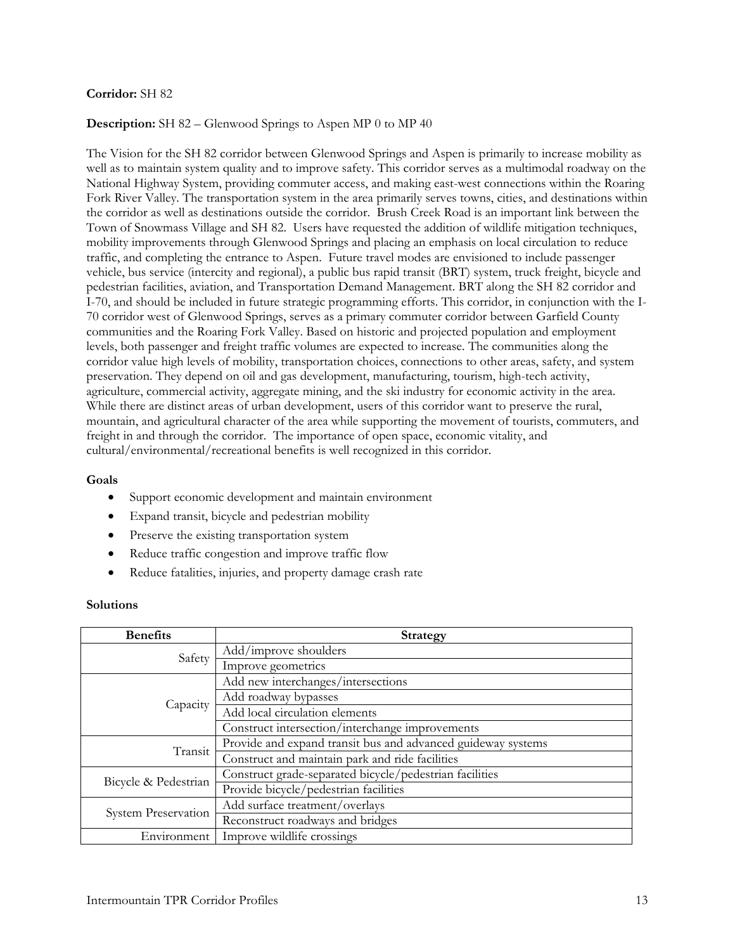# **Description:** SH 82 – Glenwood Springs to Aspen MP 0 to MP 40

The Vision for the SH 82 corridor between Glenwood Springs and Aspen is primarily to increase mobility as well as to maintain system quality and to improve safety. This corridor serves as a multimodal roadway on the National Highway System, providing commuter access, and making east-west connections within the Roaring Fork River Valley. The transportation system in the area primarily serves towns, cities, and destinations within the corridor as well as destinations outside the corridor. Brush Creek Road is an important link between the Town of Snowmass Village and SH 82. Users have requested the addition of wildlife mitigation techniques, mobility improvements through Glenwood Springs and placing an emphasis on local circulation to reduce traffic, and completing the entrance to Aspen. Future travel modes are envisioned to include passenger vehicle, bus service (intercity and regional), a public bus rapid transit (BRT) system, truck freight, bicycle and pedestrian facilities, aviation, and Transportation Demand Management. BRT along the SH 82 corridor and I-70, and should be included in future strategic programming efforts. This corridor, in conjunction with the I-70 corridor west of Glenwood Springs, serves as a primary commuter corridor between Garfield County communities and the Roaring Fork Valley. Based on historic and projected population and employment levels, both passenger and freight traffic volumes are expected to increase. The communities along the corridor value high levels of mobility, transportation choices, connections to other areas, safety, and system preservation. They depend on oil and gas development, manufacturing, tourism, high-tech activity, agriculture, commercial activity, aggregate mining, and the ski industry for economic activity in the area. While there are distinct areas of urban development, users of this corridor want to preserve the rural, mountain, and agricultural character of the area while supporting the movement of tourists, commuters, and freight in and through the corridor. The importance of open space, economic vitality, and cultural/environmental/recreational benefits is well recognized in this corridor.

### **Goals**

- Support economic development and maintain environment
- Expand transit, bicycle and pedestrian mobility
- Preserve the existing transportation system
- Reduce traffic congestion and improve traffic flow
- Reduce fatalities, injuries, and property damage crash rate

| <b>Benefits</b>      | <b>Strategy</b>                                              |
|----------------------|--------------------------------------------------------------|
| Safety               | Add/improve shoulders                                        |
|                      | Improve geometrics                                           |
|                      | Add new interchanges/intersections                           |
|                      | Add roadway bypasses                                         |
| Capacity             | Add local circulation elements                               |
|                      | Construct intersection/interchange improvements              |
| Transit              | Provide and expand transit bus and advanced guideway systems |
|                      | Construct and maintain park and ride facilities              |
| Bicycle & Pedestrian | Construct grade-separated bicycle/pedestrian facilities      |
|                      | Provide bicycle/pedestrian facilities                        |
| System Preservation  | Add surface treatment/overlays                               |
|                      | Reconstruct roadways and bridges                             |
| Environment          | Improve wildlife crossings                                   |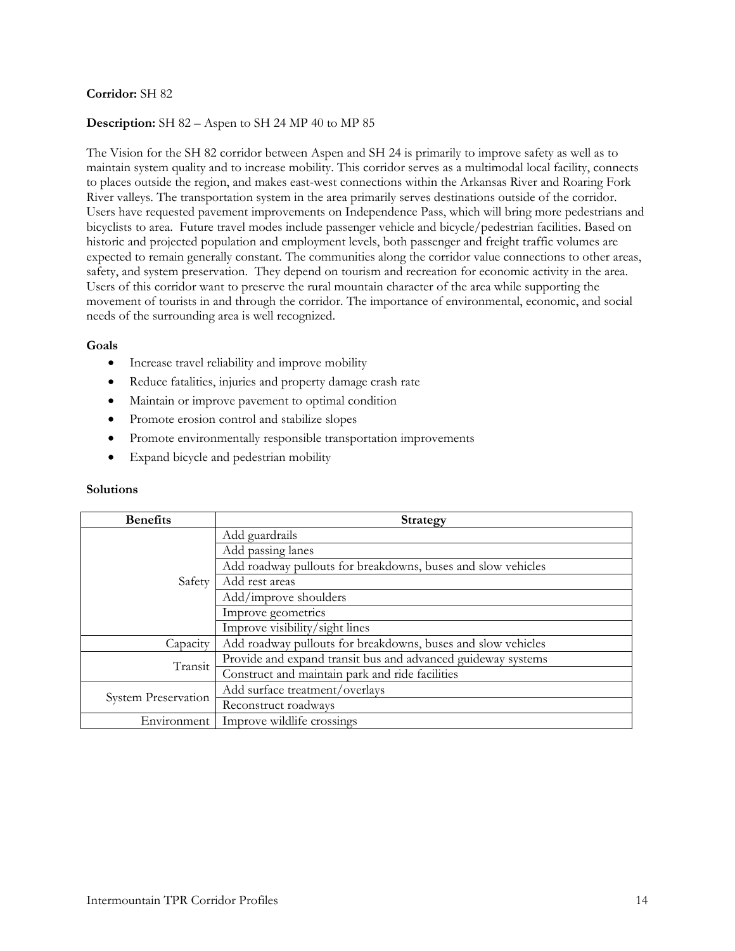# **Description:** SH 82 – Aspen to SH 24 MP 40 to MP 85

The Vision for the SH 82 corridor between Aspen and SH 24 is primarily to improve safety as well as to maintain system quality and to increase mobility. This corridor serves as a multimodal local facility, connects to places outside the region, and makes east-west connections within the Arkansas River and Roaring Fork River valleys. The transportation system in the area primarily serves destinations outside of the corridor. Users have requested pavement improvements on Independence Pass, which will bring more pedestrians and bicyclists to area. Future travel modes include passenger vehicle and bicycle/pedestrian facilities. Based on historic and projected population and employment levels, both passenger and freight traffic volumes are expected to remain generally constant. The communities along the corridor value connections to other areas, safety, and system preservation. They depend on tourism and recreation for economic activity in the area. Users of this corridor want to preserve the rural mountain character of the area while supporting the movement of tourists in and through the corridor. The importance of environmental, economic, and social needs of the surrounding area is well recognized.

#### **Goals**

- Increase travel reliability and improve mobility
- Reduce fatalities, injuries and property damage crash rate
- Maintain or improve pavement to optimal condition
- Promote erosion control and stabilize slopes
- Promote environmentally responsible transportation improvements
- Expand bicycle and pedestrian mobility

| <b>Benefits</b>            | <b>Strategy</b>                                              |
|----------------------------|--------------------------------------------------------------|
| Safety                     | Add guardrails                                               |
|                            | Add passing lanes                                            |
|                            | Add roadway pullouts for breakdowns, buses and slow vehicles |
|                            | Add rest areas                                               |
|                            | Add/improve shoulders                                        |
|                            | Improve geometrics                                           |
|                            | Improve visibility/sight lines                               |
| Capacity                   | Add roadway pullouts for breakdowns, buses and slow vehicles |
| Transit                    | Provide and expand transit bus and advanced guideway systems |
|                            | Construct and maintain park and ride facilities              |
| <b>System Preservation</b> | Add surface treatment/overlays                               |
|                            | Reconstruct roadways                                         |
| Environment                | Improve wildlife crossings                                   |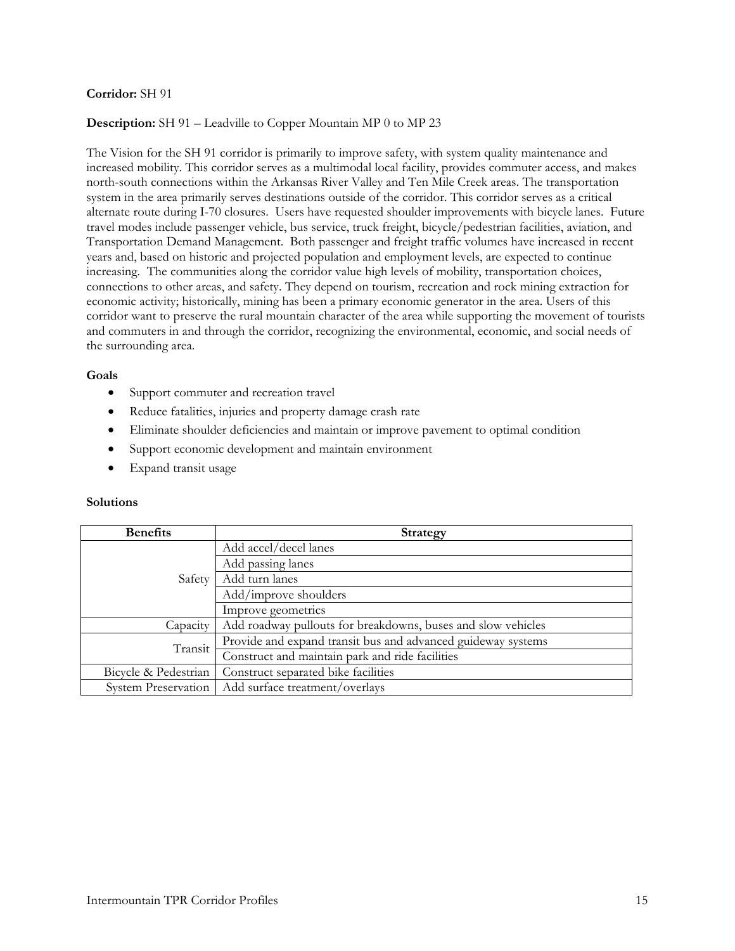# **Description:** SH 91 – Leadville to Copper Mountain MP 0 to MP 23

The Vision for the SH 91 corridor is primarily to improve safety, with system quality maintenance and increased mobility. This corridor serves as a multimodal local facility, provides commuter access, and makes north-south connections within the Arkansas River Valley and Ten Mile Creek areas. The transportation system in the area primarily serves destinations outside of the corridor. This corridor serves as a critical alternate route during I-70 closures. Users have requested shoulder improvements with bicycle lanes. Future travel modes include passenger vehicle, bus service, truck freight, bicycle/pedestrian facilities, aviation, and Transportation Demand Management. Both passenger and freight traffic volumes have increased in recent years and, based on historic and projected population and employment levels, are expected to continue increasing. The communities along the corridor value high levels of mobility, transportation choices, connections to other areas, and safety. They depend on tourism, recreation and rock mining extraction for economic activity; historically, mining has been a primary economic generator in the area. Users of this corridor want to preserve the rural mountain character of the area while supporting the movement of tourists and commuters in and through the corridor, recognizing the environmental, economic, and social needs of the surrounding area.

#### **Goals**

- Support commuter and recreation travel
- Reduce fatalities, injuries and property damage crash rate
- Eliminate shoulder deficiencies and maintain or improve pavement to optimal condition
- Support economic development and maintain environment
- Expand transit usage

| <b>Benefits</b>            | <b>Strategy</b>                                              |
|----------------------------|--------------------------------------------------------------|
| Safety                     | Add accel/decel lanes                                        |
|                            | Add passing lanes                                            |
|                            | Add turn lanes                                               |
|                            | Add/improve shoulders                                        |
|                            | Improve geometrics                                           |
| Capacity                   | Add roadway pullouts for breakdowns, buses and slow vehicles |
| Transit                    | Provide and expand transit bus and advanced guideway systems |
|                            | Construct and maintain park and ride facilities              |
| Bicycle & Pedestrian       | Construct separated bike facilities                          |
| <b>System Preservation</b> | Add surface treatment/overlays                               |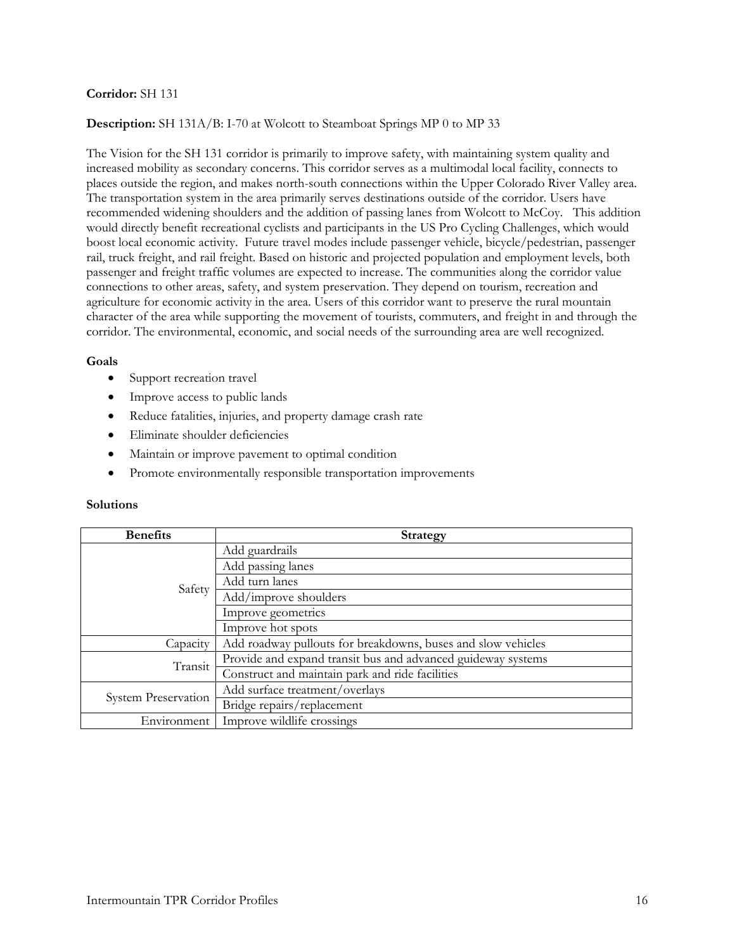### **Description:** SH 131A/B: I-70 at Wolcott to Steamboat Springs MP 0 to MP 33

The Vision for the SH 131 corridor is primarily to improve safety, with maintaining system quality and increased mobility as secondary concerns. This corridor serves as a multimodal local facility, connects to places outside the region, and makes north-south connections within the Upper Colorado River Valley area. The transportation system in the area primarily serves destinations outside of the corridor. Users have recommended widening shoulders and the addition of passing lanes from Wolcott to McCoy. This addition would directly benefit recreational cyclists and participants in the US Pro Cycling Challenges, which would boost local economic activity. Future travel modes include passenger vehicle, bicycle/pedestrian, passenger rail, truck freight, and rail freight. Based on historic and projected population and employment levels, both passenger and freight traffic volumes are expected to increase. The communities along the corridor value connections to other areas, safety, and system preservation. They depend on tourism, recreation and agriculture for economic activity in the area. Users of this corridor want to preserve the rural mountain character of the area while supporting the movement of tourists, commuters, and freight in and through the corridor. The environmental, economic, and social needs of the surrounding area are well recognized.

#### **Goals**

- Support recreation travel
- Improve access to public lands
- Reduce fatalities, injuries, and property damage crash rate
- Eliminate shoulder deficiencies
- Maintain or improve pavement to optimal condition
- Promote environmentally responsible transportation improvements

| <b>Benefits</b>            | <b>Strategy</b>                                              |
|----------------------------|--------------------------------------------------------------|
| Safety                     | Add guardrails                                               |
|                            | Add passing lanes                                            |
|                            | Add turn lanes                                               |
|                            | Add/improve shoulders                                        |
|                            | Improve geometrics                                           |
|                            | Improve hot spots                                            |
| Capacity                   | Add roadway pullouts for breakdowns, buses and slow vehicles |
| Transit                    | Provide and expand transit bus and advanced guideway systems |
|                            | Construct and maintain park and ride facilities              |
| <b>System Preservation</b> | Add surface treatment/overlays                               |
|                            | Bridge repairs/replacement                                   |
| Environment                | Improve wildlife crossings                                   |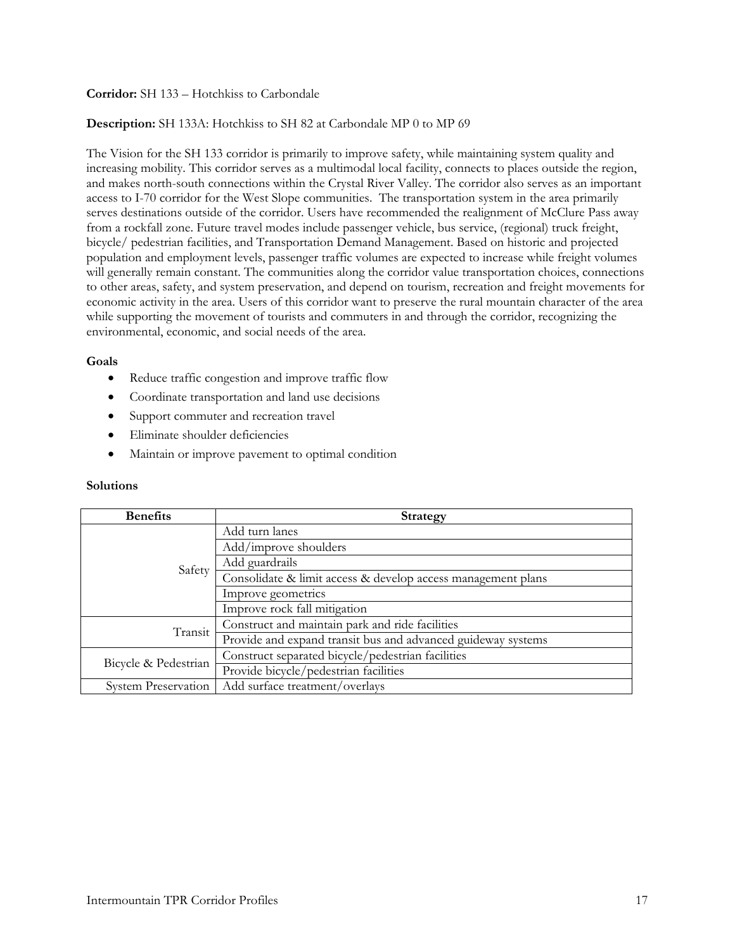# **Corridor:** SH 133 – Hotchkiss to Carbondale

# **Description:** SH 133A: Hotchkiss to SH 82 at Carbondale MP 0 to MP 69

The Vision for the SH 133 corridor is primarily to improve safety, while maintaining system quality and increasing mobility. This corridor serves as a multimodal local facility, connects to places outside the region, and makes north-south connections within the Crystal River Valley. The corridor also serves as an important access to I-70 corridor for the West Slope communities. The transportation system in the area primarily serves destinations outside of the corridor. Users have recommended the realignment of McClure Pass away from a rockfall zone. Future travel modes include passenger vehicle, bus service, (regional) truck freight, bicycle/ pedestrian facilities, and Transportation Demand Management. Based on historic and projected population and employment levels, passenger traffic volumes are expected to increase while freight volumes will generally remain constant. The communities along the corridor value transportation choices, connections to other areas, safety, and system preservation, and depend on tourism, recreation and freight movements for economic activity in the area. Users of this corridor want to preserve the rural mountain character of the area while supporting the movement of tourists and commuters in and through the corridor, recognizing the environmental, economic, and social needs of the area.

#### **Goals**

- Reduce traffic congestion and improve traffic flow
- Coordinate transportation and land use decisions
- Support commuter and recreation travel
- Eliminate shoulder deficiencies
- Maintain or improve pavement to optimal condition

| <b>Benefits</b>            | <b>Strategy</b>                                              |
|----------------------------|--------------------------------------------------------------|
| Safety                     | Add turn lanes                                               |
|                            | Add/improve shoulders                                        |
|                            | Add guardrails                                               |
|                            | Consolidate & limit access & develop access management plans |
|                            | Improve geometrics                                           |
|                            | Improve rock fall mitigation                                 |
| Transit                    | Construct and maintain park and ride facilities              |
|                            | Provide and expand transit bus and advanced guideway systems |
| Bicycle & Pedestrian       | Construct separated bicycle/pedestrian facilities            |
|                            | Provide bicycle/pedestrian facilities                        |
| <b>System Preservation</b> | Add surface treatment/overlays                               |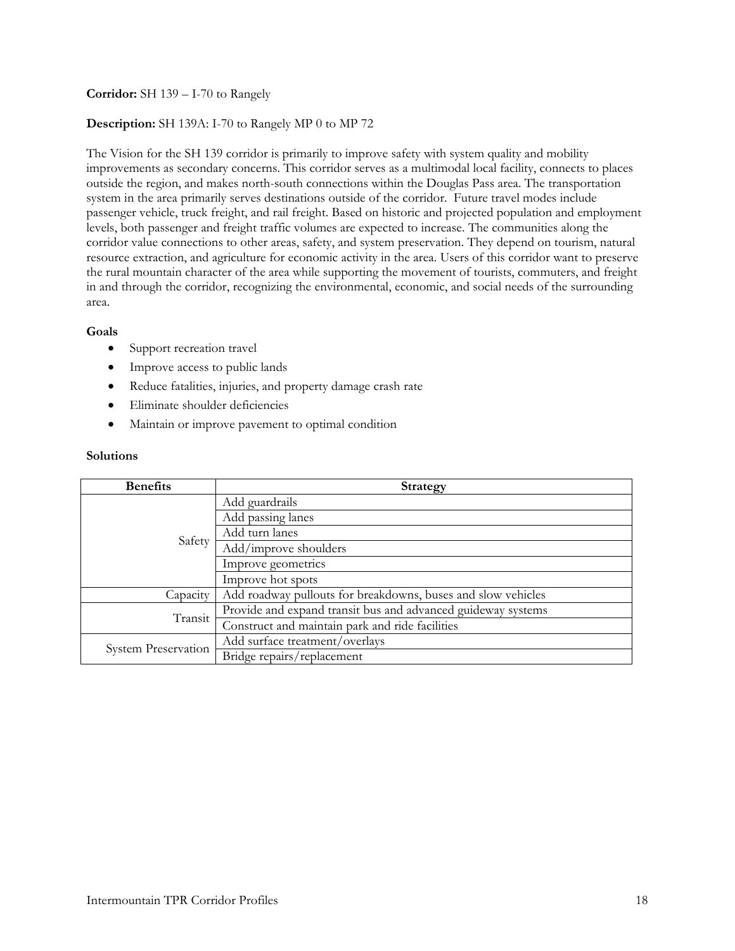# **Corridor:** SH 139 – I-70 to Rangely

# **Description:** SH 139A: I-70 to Rangely MP 0 to MP 72

The Vision for the SH 139 corridor is primarily to improve safety with system quality and mobility improvements as secondary concerns. This corridor serves as a multimodal local facility, connects to places outside the region, and makes north-south connections within the Douglas Pass area. The transportation system in the area primarily serves destinations outside of the corridor. Future travel modes include passenger vehicle, truck freight, and rail freight. Based on historic and projected population and employment levels, both passenger and freight traffic volumes are expected to increase. The communities along the corridor value connections to other areas, safety, and system preservation. They depend on tourism, natural resource extraction, and agriculture for economic activity in the area. Users of this corridor want to preserve the rural mountain character of the area while supporting the movement of tourists, commuters, and freight in and through the corridor, recognizing the environmental, economic, and social needs of the surrounding area.

# **Goals**

- Support recreation travel
- Improve access to public lands
- Reduce fatalities, injuries, and property damage crash rate
- Eliminate shoulder deficiencies
- Maintain or improve pavement to optimal condition

| <b>Benefits</b>     | <b>Strategy</b>                                              |
|---------------------|--------------------------------------------------------------|
| Safety              | Add guardrails                                               |
|                     | Add passing lanes                                            |
|                     | Add turn lanes                                               |
|                     | Add/improve shoulders                                        |
|                     | Improve geometrics                                           |
|                     | Improve hot spots                                            |
| Capacity            | Add roadway pullouts for breakdowns, buses and slow vehicles |
| Transit             | Provide and expand transit bus and advanced guideway systems |
|                     | Construct and maintain park and ride facilities              |
| System Preservation | Add surface treatment/overlays                               |
|                     | Bridge repairs/replacement                                   |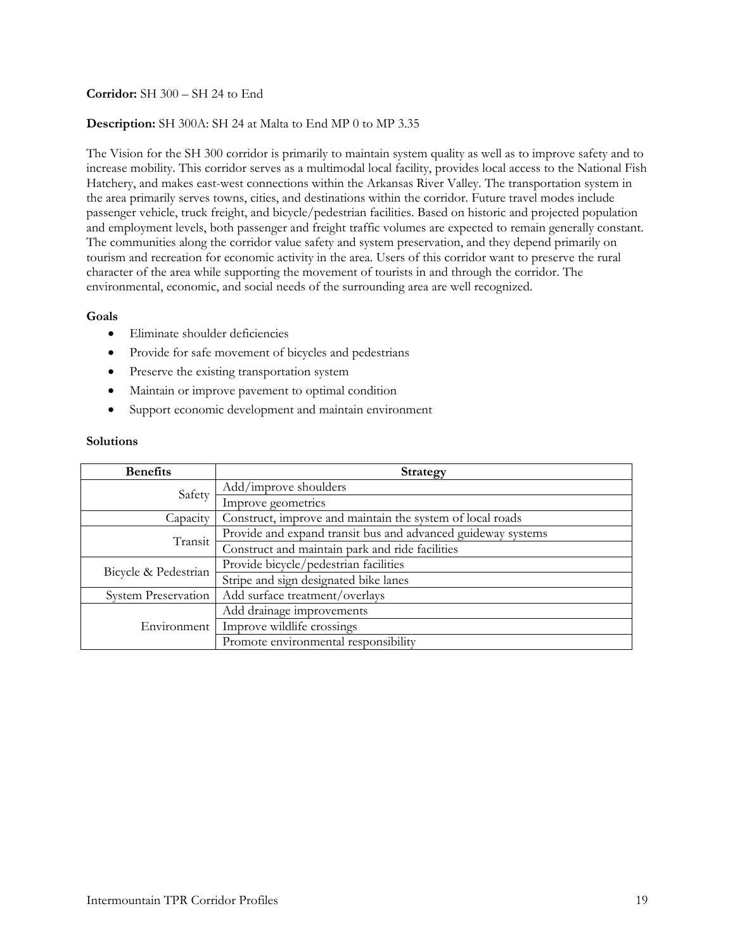# **Corridor:** SH 300 – SH 24 to End

### **Description:** SH 300A: SH 24 at Malta to End MP 0 to MP 3.35

The Vision for the SH 300 corridor is primarily to maintain system quality as well as to improve safety and to increase mobility. This corridor serves as a multimodal local facility, provides local access to the National Fish Hatchery, and makes east-west connections within the Arkansas River Valley. The transportation system in the area primarily serves towns, cities, and destinations within the corridor. Future travel modes include passenger vehicle, truck freight, and bicycle/pedestrian facilities. Based on historic and projected population and employment levels, both passenger and freight traffic volumes are expected to remain generally constant. The communities along the corridor value safety and system preservation, and they depend primarily on tourism and recreation for economic activity in the area. Users of this corridor want to preserve the rural character of the area while supporting the movement of tourists in and through the corridor. The environmental, economic, and social needs of the surrounding area are well recognized.

### **Goals**

- Eliminate shoulder deficiencies
- Provide for safe movement of bicycles and pedestrians
- Preserve the existing transportation system
- Maintain or improve pavement to optimal condition
- Support economic development and maintain environment

| <b>Benefits</b>            | <b>Strategy</b>                                              |
|----------------------------|--------------------------------------------------------------|
| Safety                     | Add/improve shoulders                                        |
|                            | Improve geometrics                                           |
| Capacity                   | Construct, improve and maintain the system of local roads    |
| Transit                    | Provide and expand transit bus and advanced guideway systems |
|                            | Construct and maintain park and ride facilities              |
| Bicycle & Pedestrian       | Provide bicycle/pedestrian facilities                        |
|                            | Stripe and sign designated bike lanes                        |
| <b>System Preservation</b> | Add surface treatment/overlays                               |
| Environment                | Add drainage improvements                                    |
|                            | Improve wildlife crossings                                   |
|                            | Promote environmental responsibility                         |